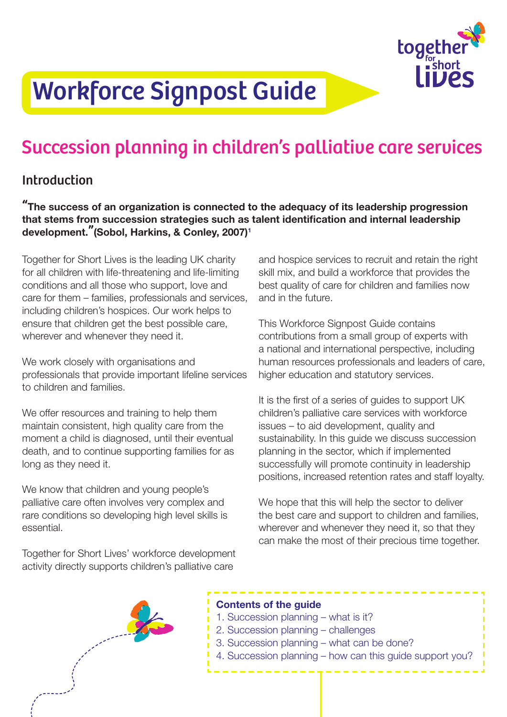

# Workforce Signpost Guide

## Succession planning in children's palliative care services

## Introduction

"The success of an organization is connected to the adequacy of its leadership progression that stems from succession strategies such as talent identification and internal leadership development."(Sobol, Harkins, & Conley, 2007)<sup>1</sup>

Together for Short Lives is the leading UK charity for all children with life-threatening and life-limiting conditions and all those who support, love and care for them – families, professionals and services, including children's hospices. Our work helps to ensure that children get the best possible care, wherever and whenever they need it.

We work closely with organisations and professionals that provide important lifeline services to children and families.

We offer resources and training to help them maintain consistent, high quality care from the moment a child is diagnosed, until their eventual death, and to continue supporting families for as long as they need it.

We know that children and young people's palliative care often involves very complex and rare conditions so developing high level skills is essential.

Together for Short Lives' workforce development activity directly supports children's palliative care

and hospice services to recruit and retain the right skill mix, and build a workforce that provides the best quality of care for children and families now and in the future.

This Workforce Signpost Guide contains contributions from a small group of experts with a national and international perspective, including human resources professionals and leaders of care, higher education and statutory services.

It is the first of a series of guides to support UK children's palliative care services with workforce issues – to aid development, quality and sustainability. In this guide we discuss succession planning in the sector, which if implemented successfully will promote continuity in leadership positions, increased retention rates and staff loyalty.

We hope that this will help the sector to deliver the best care and support to children and families, wherever and whenever they need it, so that they can make the most of their precious time together.



## Contents of the guide

- 1. Succession planning what is it?
- 2. Succession planning challenges
- 3. Succession planning what can be done?
- 4. Succession planning how can this guide support you?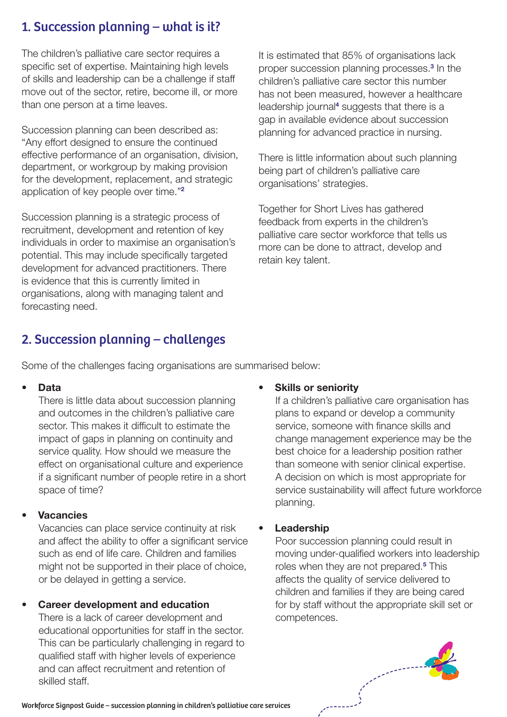## 1. Succession planning – what is it?

The children's palliative care sector requires a specific set of expertise. Maintaining high levels of skills and leadership can be a challenge if staff move out of the sector, retire, become ill, or more than one person at a time leaves.

Succession planning can been described as: "Any effort designed to ensure the continued effective performance of an organisation, division, department, or workgroup by making provision for the development, replacement, and strategic application of key people over time."[2](#page-6-1)

Succession planning is a strategic process of recruitment, development and retention of key individuals in order to maximise an organisation's potential. This may include specifically targeted development for advanced practitioners. There is evidence that this is currently limited in organisations, along with managing talent and forecasting need.

## It is estimated that 85% of organisations lack proper succession planning processes.[3](#page-6-3) In the children's palliative care sector this number has not been measured, however a healthcare leadership journal<sup>[4](#page-6-4)</sup> suggests that there is a gap in available evidence about succession planning for advanced practice in nursing.

There is little information about such planning being part of children's palliative care organisations' strategies.

Together for Short Lives has gathered feedback from experts in the children's palliative care sector workforce that tells us more can be done to attract, develop and retain key talent.

## 2. Succession planning – challenges

Some of the challenges facing organisations are summarised below:

## **Data**

There is little data about succession planning and outcomes in the children's palliative care sector. This makes it difficult to estimate the impact of gaps in planning on continuity and service quality. How should we measure the effect on organisational culture and experience if a significant number of people retire in a short space of time?

## **Vacancies**

Vacancies can place service continuity at risk and affect the ability to offer a significant service such as end of life care. Children and families might not be supported in their place of choice, or be delayed in getting a service.

## • Career development and education

There is a lack of career development and educational opportunities for staff in the sector. This can be particularly challenging in regard to qualified staff with higher levels of experience and can affect recruitment and retention of skilled staff.

## **Skills or seniority**

If a children's palliative care organisation has plans to expand or develop a community service, someone with finance skills and change management experience may be the best choice for a leadership position rather than someone with senior clinical expertise. A decision on which is most appropriate for service sustainability will affect future workforce planning.

## **Leadership**

Poor succession planning could result in moving under-qualified workers into leadership roles when they are not prepared.<sup>[5](#page-6-2)</sup> This affects the quality of service delivered to children and families if they are being cared for by staff without the appropriate skill set or competences.



Workforce Signpost Guide – succession planning in children's palliative care services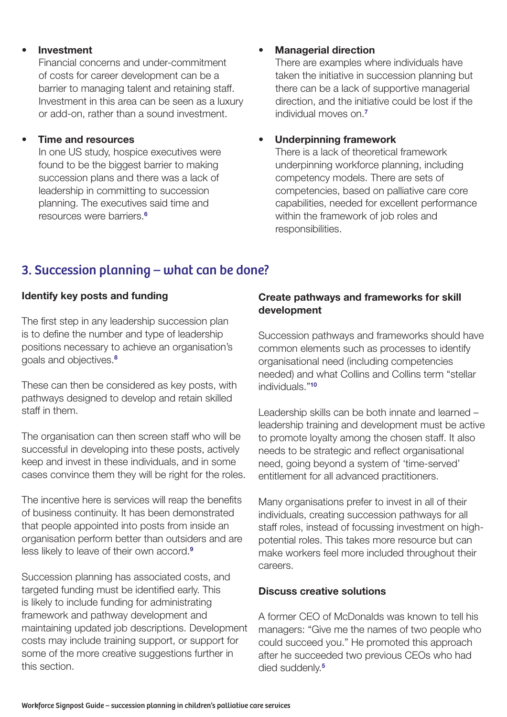## **Investment**

Financial concerns and under-commitment of costs for career development can be a barrier to managing talent and retaining staff. Investment in this area can be seen as a luxury or add-on, rather than a sound investment.

### • Time and resources

In one US study, hospice executives were found to be the biggest barrier to making succession plans and there was a lack of leadership in committing to succession planning. The executives said time and resources were barriers.[6](#page-6-5)

## • Managerial direction

There are examples where individuals have taken the initiative in succession planning but there can be a lack of supportive managerial direction, and the initiative could be lost if the individual moves on.<sup>7</sup>

## • Underpinning framework

There is a lack of theoretical framework underpinning workforce planning, including competency models. There are sets of competencies, based on palliative care core capabilities, needed for excellent performance within the framework of job roles and responsibilities.

## 3. Succession planning – what can be done?

## Identify key posts and funding

The first step in any leadership succession plan is to define the number and type of leadership positions necessary to achieve an organisation's goals and objectives.[8](#page-6-6)

These can then be considered as key posts, with pathways designed to develop and retain skilled staff in them.

The organisation can then screen staff who will be successful in developing into these posts, actively keep and invest in these individuals, and in some cases convince them they will be right for the roles.

The incentive here is services will reap the benefits of business continuity. It has been demonstrated that people appointed into posts from inside an organisation perform better than outsiders and are less likely to leave of their own accord.<sup>[9](#page-6-7)</sup>

Succession planning has associated costs, and targeted funding must be identified early. This is likely to include funding for administrating framework and pathway development and maintaining updated job descriptions. Development costs may include training support, or support for some of the more creative suggestions further in this section.

## Create pathways and frameworks for skill development

Succession pathways and frameworks should have common elements such as processes to identify organisational need (including competencies needed) and what Collins and Collins term "stellar individuals."[10](#page-6-8)

Leadership skills can be both innate and learned – leadership training and development must be active to promote loyalty among the chosen staff. It also needs to be strategic and reflect organisational need, going beyond a system of 'time-served' entitlement for all advanced practitioners.

Many organisations prefer to invest in all of their individuals, creating succession pathways for all staff roles, instead of focussing investment on highpotential roles. This takes more resource but can make workers feel more included throughout their careers.

## Discuss creative solutions

A former CEO of McDonalds was known to tell his managers: "Give me the names of two people who could succeed you." He promoted this approach after he succeeded two previous CEOs who had died suddenly.<sup>[5](#page-6-2)</sup>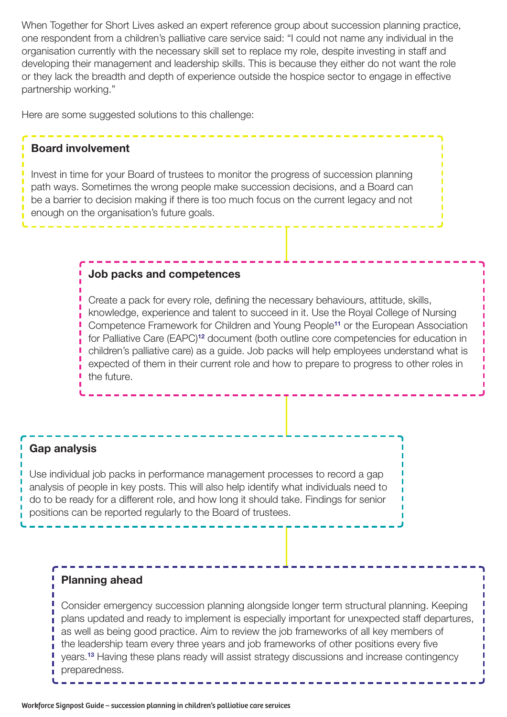When Together for Short Lives asked an expert reference group about succession planning practice, one respondent from a children's palliative care service said: "I could not name any individual in the organisation currently with the necessary skill set to replace my role, despite investing in staff and developing their management and leadership skills. This is because they either do not want the role or they lack the breadth and depth of experience outside the hospice sector to engage in effective partnership working."

Here are some suggested solutions to this challenge:

### Board involvement

Invest in time for your Board of trustees to monitor the progress of succession planning path ways. Sometimes the wrong people make succession decisions, and a Board can be a barrier to decision making if there is too much focus on the current legacy and not enough on the organisation's future goals.

#### Job packs and competences

Create a pack for every role, defining the necessary behaviours, attitude, skills, knowledge, experience and talent to succeed in it. Use the Royal College of Nursing Competence Framework for Children and Young People[11](#page-6-10) or the European Association for Palliative Care (EAPC)<sup>[12](#page-6-11)</sup> document (both outline core competencies for education in children's palliative care) as a guide. Job packs will help employees understand what is expected of them in their current role and how to prepare to progress to other roles in the future.

#### Gap analysis

Use individual job packs in performance management processes to record a gap analysis of people in key posts. This will also help identify what individuals need to do to be ready for a different role, and how long it should take. Findings for senior positions can be reported regularly to the Board of trustees.

## Planning ahead

Consider emergency succession planning alongside longer term structural planning. Keeping plans updated and ready to implement is especially important for unexpected staff departures, as well as being good practice. Aim to review the job frameworks of all key members of the leadership team every three years and job frameworks of other positions every five years.[13](#page-6-9) Having these plans ready will assist strategy discussions and increase contingency preparedness.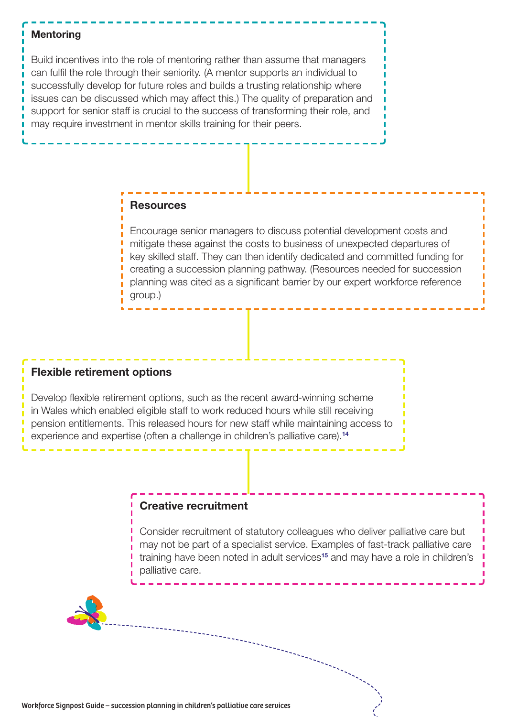#### **Mentoring**

Build incentives into the role of mentoring rather than assume that managers can fulfil the role through their seniority. (A mentor supports an individual to successfully develop for future roles and builds a trusting relationship where issues can be discussed which may affect this.) The quality of preparation and support for senior staff is crucial to the success of transforming their role, and may require investment in mentor skills training for their peers.

## **Resources**

Encourage senior managers to discuss potential development costs and mitigate these against the costs to business of unexpected departures of key skilled staff. They can then identify dedicated and committed funding for creating a succession planning pathway. (Resources needed for succession planning was cited as a significant barrier by our expert workforce reference group.)

#### Flexible retirement options

Develop flexible retirement options, such as the recent award-winning scheme in Wales which enabled eligible staff to work reduced hours while still receiving pension entitlements. This released hours for new staff while maintaining access to experience and expertise (often a challenge in children's palliative care).<sup>[14](#page-6-13)</sup>

### Creative recruitment

Consider recruitment of statutory colleagues who deliver palliative care but may not be part of a specialist service. Examples of fast-track palliative care training have been noted in adult services<sup>[15](#page-6-12)</sup> and may have a role in children's palliative care.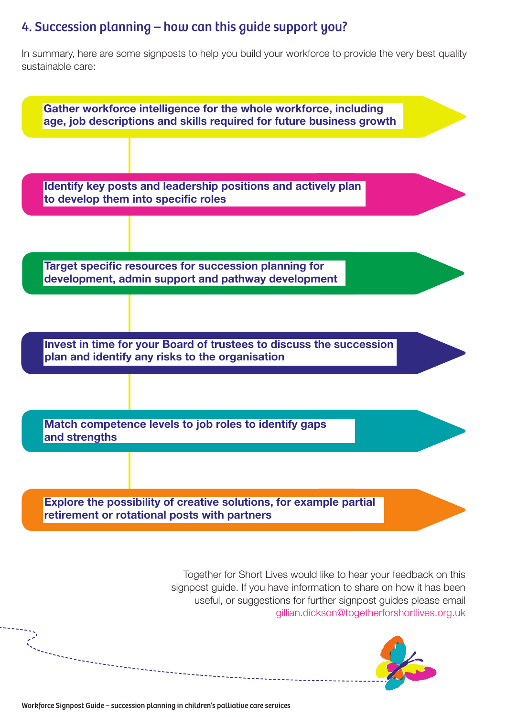## 4. Succession planning – how can this guide support you?

In summary, here are some signposts to help you build your workforce to provide the very best quality sustainable care:



Workforce Signpost Guide – succession planning in children's palliative care services